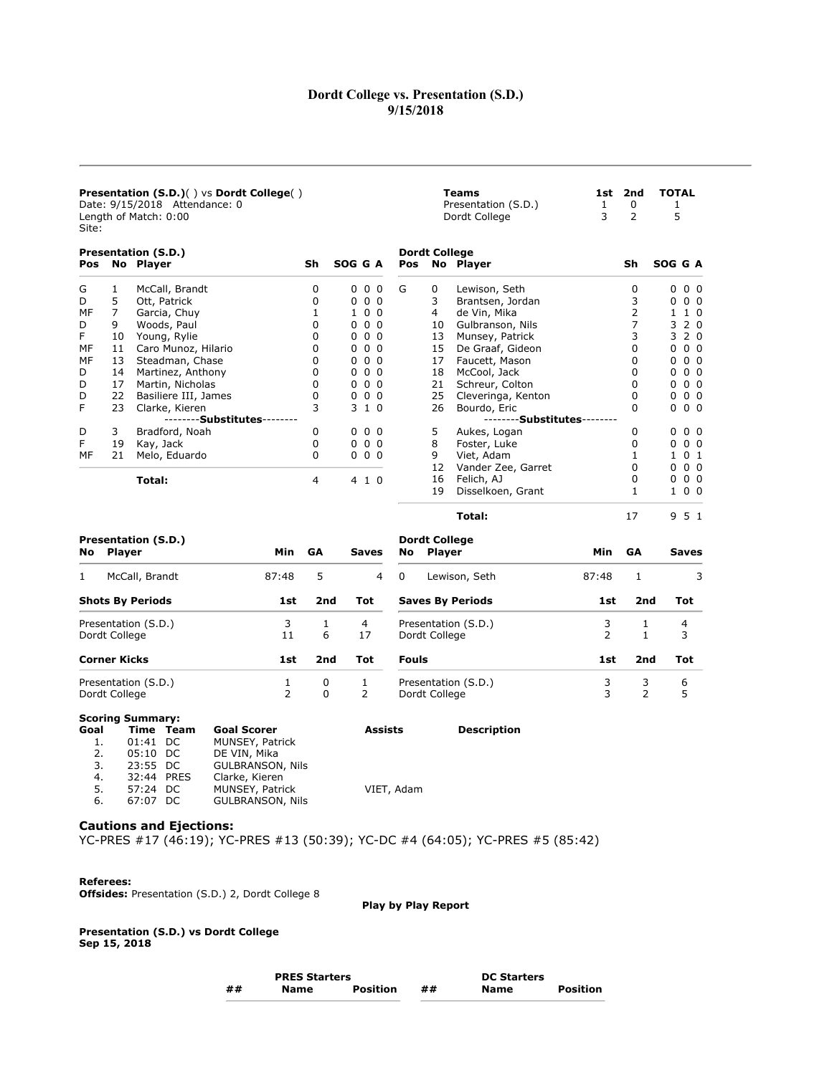# Dordt College vs. Presentation (S.D.) 9/15/2018

**Teams** 1st 2nd TOTAL<br>
Presentation (S.D.) 1 0 1<br>
Dordt College 3 2 5 Presentation (S.D.) 1 0 1 Dordt College 3 2 5

Total: 17 9 5 1

**Presentation (S.D.)() vs Dordt College()** Date: 9/15/2018 Attendance: 0 Length of Match: 0:00 Site:

|     |    | Presentation (S.D.)  |    |         |                 | <b>Dordt College</b> |          |                    |    |          |                   |
|-----|----|----------------------|----|---------|-----------------|----------------------|----------|--------------------|----|----------|-------------------|
| Pos |    | No Player            | Sh | SOG G A |                 |                      |          | Pos No Player      | Sh | SOG G A  |                   |
| G   |    | McCall, Brandt       | 0  |         | $0\,0\,0$       | G                    | $\Omega$ | Lewison, Seth      | 0  | $\Omega$ | 0 <sub>0</sub>    |
| D   | 5  | Ott, Patrick         |    |         | $0\,0\,0$       |                      | 3        | Brantsen, Jordan   | 3  | 0        | n n               |
| MF  |    | Garcia, Chuy         |    |         | 100             |                      | 4        | de Vin, Mika       |    |          | 1 0               |
| D   | 9  | Woods, Paul          |    |         | $0\quad0\quad0$ |                      | 10       | Gulbranson, Nils   |    | 3.       | 2 0               |
| F   | 10 | Young, Rylie         |    |         | $0\quad0\quad0$ |                      | 13       | Munsey, Patrick    | 3  | 3        | 2 0               |
| МF  | 11 | Caro Munoz, Hilario  | 0  |         | $0\,0\,0$       |                      | 15       | De Graaf, Gideon   |    | 0        | 0 <sub>0</sub>    |
| MF  | 13 | Steadman, Chase      | 0  |         | $0\quad0\quad0$ |                      | 17       | Faucett, Mason     |    | 0        | 0 <sub>0</sub>    |
| D   | 14 | Martinez, Anthony    |    |         | $0\quad0\quad0$ |                      | 18       | McCool, Jack       |    | 0        | 0 <sub>0</sub>    |
| D   | 17 | Martin, Nicholas     |    |         | $0\quad0\quad0$ |                      | 21       | Schreur, Colton    |    | 0        | 0 <sub>0</sub>    |
| D   | 22 | Basiliere III, James | 0  |         | $0\,0\,0$       |                      | 25       | Cleveringa, Kenton | 0  |          | $0\,0\,0$         |
| F   | 23 | Clarke, Kieren       | 3  |         | 3 1 0           |                      | 26       | Bourdo, Eric       | 0  |          | $0\,0\,0$         |
|     |    | Substitutes          |    |         |                 |                      |          | -Substitutes-      |    |          |                   |
| D   | 3  | Bradford, Noah       | 0  |         | $0\quad0\quad0$ |                      | 5        | Aukes, Logan       | 0  |          | $0\quad 0\quad 0$ |
| F   | 19 | Kay, Jack            | 0  |         | $0\,0\,0$       |                      | 8        | Foster, Luke       |    | 0        | 0 <sub>0</sub>    |
| МF  | 21 | Melo, Eduardo        | 0  |         | $0\,0\,0$       |                      | 9        | Viet, Adam         |    |          | 0 <sub>1</sub>    |
|     |    |                      |    |         |                 |                      | 12       | Vander Zee, Garret |    | 0        | 0 <sub>0</sub>    |
|     |    | Total:               | 4  |         | 4 1 0           |                      | 16       | Felich, AJ         |    | 0        | 0 <sub>0</sub>    |
|     |    |                      |    |         |                 |                      | 19       | Disselkoen, Grant  |    |          | 100               |

| No.          | <b>Presentation (S.D.)</b><br><b>Player</b> | <b>Min</b>     | GA            | <b>Saves</b>   | <b>Dordt College</b><br><b>Plaver</b><br>No. | <b>Min</b>     | GA                  | <b>Saves</b> |
|--------------|---------------------------------------------|----------------|---------------|----------------|----------------------------------------------|----------------|---------------------|--------------|
| $\mathbf{1}$ | McCall, Brandt                              | 87:48          | 5             | $\overline{4}$ | 0<br>Lewison, Seth                           | 87:48          |                     | 3            |
|              | <b>Shots By Periods</b>                     | 1st            | 2nd           | <b>Tot</b>     | <b>Saves By Periods</b>                      | 1st            | 2nd                 | Tot          |
|              | Presentation (S.D.)<br>Dordt College        | 3.<br>11       | 6             | 4<br>17        | Presentation (S.D.)<br>Dordt College         | $\overline{2}$ |                     | 4<br>3       |
|              | <b>Corner Kicks</b>                         | 1st            | 2nd           | <b>Tot</b>     | <b>Fouls</b>                                 | 1st            | 2nd                 | Tot          |
|              | Presentation (S.D.)<br>Dordt College        | $\overline{2}$ | 0<br>$\Omega$ | $\mathcal{P}$  | Presentation (S.D.)<br>Dordt College         | 3              | 3<br>$\overline{2}$ | 6<br>5       |

| <b>Scoring Summary:</b> |            |           |                         |                |                    |
|-------------------------|------------|-----------|-------------------------|----------------|--------------------|
| Goal                    |            | Time Team | <b>Goal Scorer</b>      | <b>Assists</b> | <b>Description</b> |
| 1.                      | $01:41$ DC |           | MUNSEY, Patrick         |                |                    |
| 2.                      | 05:10 DC   |           | DE VIN, Mika            |                |                    |
| 3.                      | 23:55 DC   |           | <b>GULBRANSON, Nils</b> |                |                    |
| 4.                      | 32:44 PRES |           | Clarke, Kieren          |                |                    |
| 5.                      | 57:24 DC   |           | MUNSEY, Patrick         | VIET, Adam     |                    |
| 6.                      | 67:07      | DC.       | <b>GULBRANSON, Nils</b> |                |                    |

## Cautions and Ejections: YC-PRES #17 (46:19); YC-PRES #13 (50:39); YC-DC #4 (64:05); YC-PRES #5 (85:42)

## Referees:

Offsides: Presentation (S.D.) 2, Dordt College 8

Play by Play Report

Presentation (S.D.) vs Dordt College Sep 15, 2018

|    | <b>PRES Starters</b> |          |    | <b>DC Starters</b> |          |
|----|----------------------|----------|----|--------------------|----------|
| ## | Name                 | Position | ## | Name               | Position |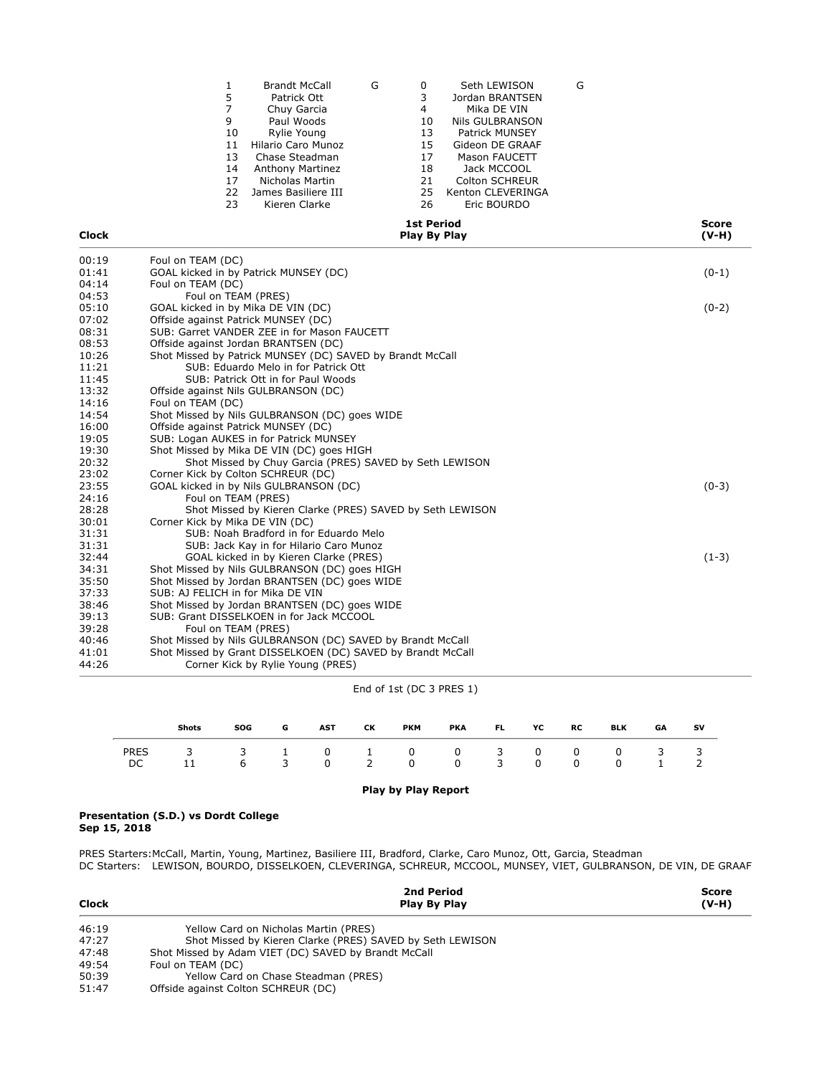| 1  | <b>Brandt McCall</b>    | G | 0  | Seth LEWISON          | G |
|----|-------------------------|---|----|-----------------------|---|
| 5  | Patrick Ott             |   | 3  | Jordan BRANTSEN       |   |
| 7  | Chuy Garcia             |   | 4  | Mika DE VIN           |   |
| 9  | Paul Woods              |   | 10 | Nils GULBRANSON       |   |
| 10 | Rylie Young             |   | 13 | <b>Patrick MUNSEY</b> |   |
| 11 | Hilario Caro Munoz      |   | 15 | Gideon DE GRAAF       |   |
| 13 | Chase Steadman          |   | 17 | Mason FAUCETT         |   |
| 14 | <b>Anthony Martinez</b> |   | 18 | Jack MCCOOL           |   |
| 17 | Nicholas Martin         |   | 21 | <b>Colton SCHREUR</b> |   |
| 22 | James Basiliere III     |   | 25 | Kenton CLEVERINGA     |   |
| 23 | Kieren Clarke           |   | 26 | Eric BOURDO           |   |

| <b>Clock</b> | <b>1st Period</b><br>Play By Play                           | <b>Score</b><br>$(V-H)$ |
|--------------|-------------------------------------------------------------|-------------------------|
| 00:19        | Foul on TEAM (DC)                                           |                         |
| 01:41        | GOAL kicked in by Patrick MUNSEY (DC)                       | $(0-1)$                 |
| 04:14        | Foul on TEAM (DC)                                           |                         |
| 04:53        | Foul on TEAM (PRES)                                         |                         |
| 05:10        | GOAL kicked in by Mika DE VIN (DC)                          | $(0-2)$                 |
| 07:02        | Offside against Patrick MUNSEY (DC)                         |                         |
| 08:31        | SUB: Garret VANDER ZEE in for Mason FAUCETT                 |                         |
| 08:53        | Offside against Jordan BRANTSEN (DC)                        |                         |
| 10:26        | Shot Missed by Patrick MUNSEY (DC) SAVED by Brandt McCall   |                         |
| 11:21        | SUB: Eduardo Melo in for Patrick Ott                        |                         |
| 11:45        | SUB: Patrick Ott in for Paul Woods                          |                         |
| 13:32        | Offside against Nils GULBRANSON (DC)                        |                         |
| 14:16        | Foul on TEAM (DC)                                           |                         |
| 14:54        | Shot Missed by Nils GULBRANSON (DC) goes WIDE               |                         |
| 16:00        | Offside against Patrick MUNSEY (DC)                         |                         |
| 19:05        | SUB: Logan AUKES in for Patrick MUNSEY                      |                         |
| 19:30        | Shot Missed by Mika DE VIN (DC) goes HIGH                   |                         |
| 20:32        | Shot Missed by Chuy Garcia (PRES) SAVED by Seth LEWISON     |                         |
| 23:02        | Corner Kick by Colton SCHREUR (DC)                          |                         |
| 23:55        | GOAL kicked in by Nils GULBRANSON (DC)                      | $(0-3)$                 |
| 24:16        | Foul on TEAM (PRES)                                         |                         |
| 28:28        | Shot Missed by Kieren Clarke (PRES) SAVED by Seth LEWISON   |                         |
| 30:01        | Corner Kick by Mika DE VIN (DC)                             |                         |
| 31:31        | SUB: Noah Bradford in for Eduardo Melo                      |                         |
| 31:31        | SUB: Jack Kay in for Hilario Caro Munoz                     |                         |
| 32:44        | GOAL kicked in by Kieren Clarke (PRES)                      | $(1-3)$                 |
| 34:31        | Shot Missed by Nils GULBRANSON (DC) goes HIGH               |                         |
| 35:50        | Shot Missed by Jordan BRANTSEN (DC) goes WIDE               |                         |
| 37:33        | SUB: AJ FELICH in for Mika DE VIN                           |                         |
| 38:46        | Shot Missed by Jordan BRANTSEN (DC) goes WIDE               |                         |
| 39:13        | SUB: Grant DISSELKOEN in for Jack MCCOOL                    |                         |
| 39:28        | Foul on TEAM (PRES)                                         |                         |
| 40:46        | Shot Missed by Nils GULBRANSON (DC) SAVED by Brandt McCall  |                         |
| 41:01        | Shot Missed by Grant DISSELKOEN (DC) SAVED by Brandt McCall |                         |
| 44:26        | Corner Kick by Rylie Young (PRES)                           |                         |

## End of 1st (DC 3 PRES 1)

|    | Shots                                | SOG | G | <b>AST</b> | CК | <b>PKM</b> | <b>PKA</b>        | <b>FL</b> | YC | <b>RC</b> | <b>BLK</b> | GA                    | sv |
|----|--------------------------------------|-----|---|------------|----|------------|-------------------|-----------|----|-----------|------------|-----------------------|----|
| DC | PRES 3 3 1 0 1 0 0 3 0 0 0 3 3<br>11 |     |   |            |    |            | 6 3 0 2 0 0 3 0 0 |           |    |           |            | $0 \qquad 1 \qquad 2$ |    |

## Play by Play Report

#### Presentation (S.D.) vs Dordt College Sep 15, 2018

PRES Starters:McCall, Martin, Young, Martinez, Basiliere III, Bradford, Clarke, Caro Munoz, Ott, Garcia, Steadman DC Starters: LEWISON, BOURDO, DISSELKOEN, CLEVERINGA, SCHREUR, MCCOOL, MUNSEY, VIET, GULBRANSON, DE VIN, DE GRAAF

|              | 2nd Period                                                | Score   |
|--------------|-----------------------------------------------------------|---------|
| <b>Clock</b> | Play By Play                                              | $(V-H)$ |
| 46:19        | Yellow Card on Nicholas Martin (PRES)                     |         |
| 47:27        | Shot Missed by Kieren Clarke (PRES) SAVED by Seth LEWISON |         |
| 47:48        | Shot Missed by Adam VIET (DC) SAVED by Brandt McCall      |         |
| 49:54        | Foul on TEAM (DC)                                         |         |
| 50:39        | Yellow Card on Chase Steadman (PRES)                      |         |
| 51:47        | Offside against Colton SCHREUR (DC)                       |         |